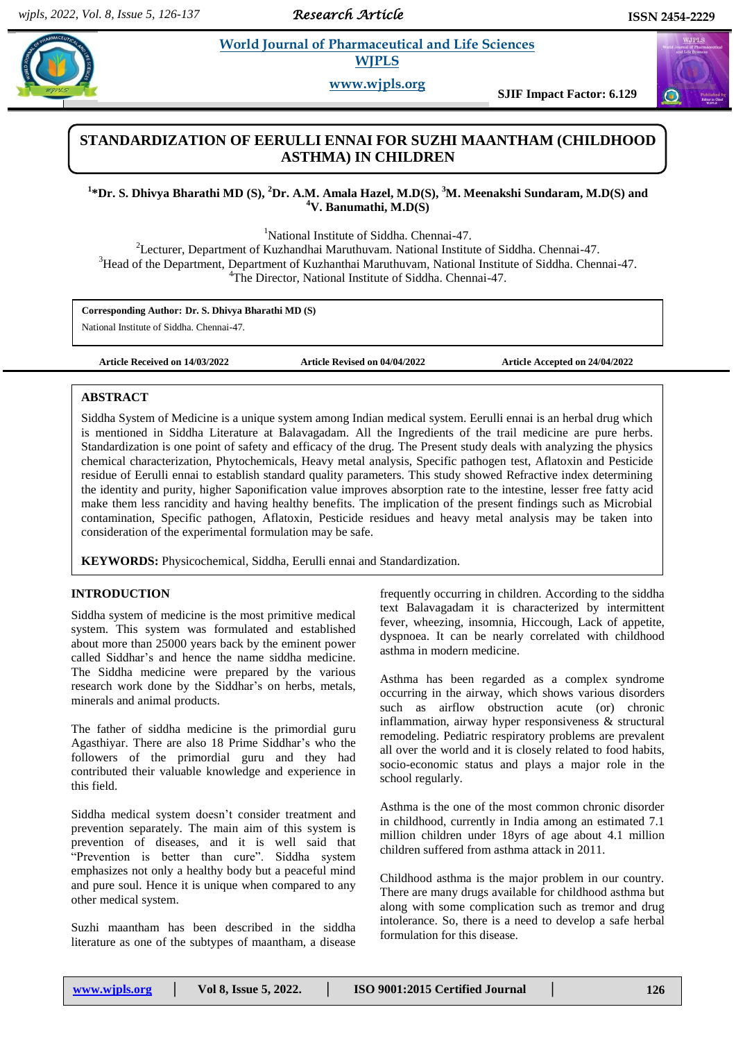*Research Article* 

# **World Journal of Pharmaceutical and Life Sciences WJPLS**

**www.wjpls.org**

**Constitution Constitution Constitution Constitution Constitution Constitution Constitution Constitution Constitution Constitution Constitution Constitution Constitution Constitution Constitution Constitution Constitution** 

# **STANDARDIZATION OF EERULLI ENNAI FOR SUZHI MAANTHAM (CHILDHOOD ASTHMA) IN CHILDREN**

# **1 \*Dr. S. Dhivya Bharathi MD (S), <sup>2</sup>Dr. A.M. Amala Hazel, M.D(S), <sup>3</sup>M. Meenakshi Sundaram, M.D(S) and <sup>4</sup>V. Banumathi, M.D(S)**

<sup>1</sup>National Institute of Siddha. Chennai-47.

<sup>2</sup>Lecturer, Department of Kuzhandhai Maruthuvam. National Institute of Siddha. Chennai-47. <sup>3</sup>Head of the Department, Department of Kuzhanthai Maruthuvam, National Institute of Siddha. Chennai-47. <sup>4</sup>The Director, National Institute of Siddha. Chennai-47.

**Corresponding Author: Dr. S. Dhivya Bharathi MD (S)**

National Institute of Siddha. Chennai-47.

**Article Received on 14/03/2022 Article Revised on 04/04/2022 Article Accepted on 24/04/2022**

# **ABSTRACT**

Siddha System of Medicine is a unique system among Indian medical system. Eerulli ennai is an herbal drug which is mentioned in Siddha Literature at Balavagadam. All the Ingredients of the trail medicine are pure herbs. Standardization is one point of safety and efficacy of the drug. The Present study deals with analyzing the physics chemical characterization, Phytochemicals, Heavy metal analysis, Specific pathogen test, Aflatoxin and Pesticide residue of Eerulli ennai to establish standard quality parameters. This study showed Refractive index determining the identity and purity, higher Saponification value improves absorption rate to the intestine, lesser free fatty acid make them less rancidity and having healthy benefits. The implication of the present findings such as Microbial contamination, Specific pathogen, Aflatoxin, Pesticide residues and heavy metal analysis may be taken into consideration of the experimental formulation may be safe.

**KEYWORDS:** Physicochemical, Siddha, Eerulli ennai and Standardization.

# **INTRODUCTION**

Siddha system of medicine is the most primitive medical system. This system was formulated and established about more than 25000 years back by the eminent power called Siddhar's and hence the name siddha medicine. The Siddha medicine were prepared by the various research work done by the Siddhar's on herbs, metals, minerals and animal products.

The father of siddha medicine is the primordial guru Agasthiyar. There are also 18 Prime Siddhar's who the followers of the primordial guru and they had contributed their valuable knowledge and experience in this field.

Siddha medical system doesn't consider treatment and prevention separately. The main aim of this system is prevention of diseases, and it is well said that "Prevention is better than cure". Siddha system emphasizes not only a healthy body but a peaceful mind and pure soul. Hence it is unique when compared to any other medical system.

Suzhi maantham has been described in the siddha literature as one of the subtypes of maantham, a disease frequently occurring in children. According to the siddha text Balavagadam it is characterized by intermittent fever, wheezing, insomnia, Hiccough, Lack of appetite, dyspnoea. It can be nearly correlated with childhood asthma in modern medicine.

Asthma has been regarded as a complex syndrome occurring in the airway, which shows various disorders such as airflow obstruction acute (or) chronic inflammation, airway hyper responsiveness & structural remodeling. Pediatric respiratory problems are prevalent all over the world and it is closely related to food habits, socio-economic status and plays a major role in the school regularly.

Asthma is the one of the most common chronic disorder in childhood, currently in India among an estimated 7.1 million children under 18yrs of age about 4.1 million children suffered from asthma attack in 2011.

Childhood asthma is the major problem in our country. There are many drugs available for childhood asthma but along with some complication such as tremor and drug intolerance. So, there is a need to develop a safe herbal formulation for this disease.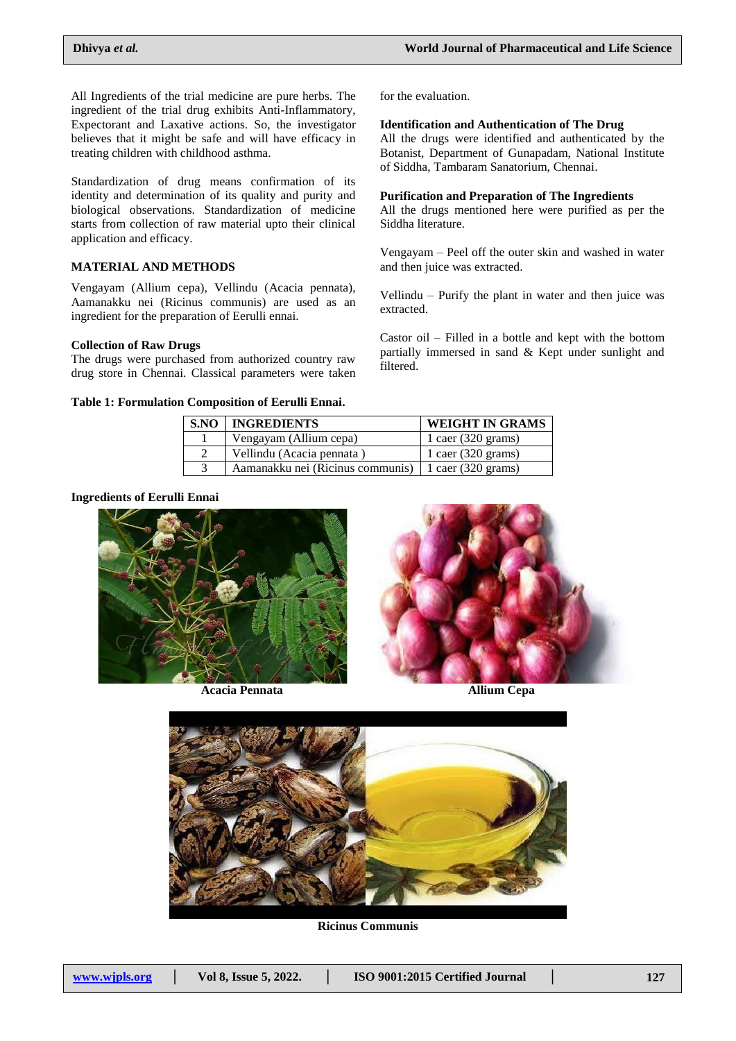All Ingredients of the trial medicine are pure herbs. The ingredient of the trial drug exhibits Anti-Inflammatory, Expectorant and Laxative actions. So, the investigator believes that it might be safe and will have efficacy in treating children with childhood asthma.

Standardization of drug means confirmation of its identity and determination of its quality and purity and biological observations. Standardization of medicine starts from collection of raw material upto their clinical application and efficacy.

# **MATERIAL AND METHODS**

Vengayam (Allium cepa), Vellindu (Acacia pennata), Aamanakku nei (Ricinus communis) are used as an ingredient for the preparation of Eerulli ennai.

### **Collection of Raw Drugs**

The drugs were purchased from authorized country raw drug store in Chennai. Classical parameters were taken

### **Table 1: Formulation Composition of Eerulli Ennai.**

for the evaluation.

### **Identification and Authentication of The Drug**

All the drugs were identified and authenticated by the Botanist, Department of Gunapadam, National Institute of Siddha, Tambaram Sanatorium, Chennai.

## **Purification and Preparation of The Ingredients**

All the drugs mentioned here were purified as per the Siddha literature.

Vengayam – Peel off the outer skin and washed in water and then juice was extracted.

Vellindu – Purify the plant in water and then juice was extracted.

Castor oil – Filled in a bottle and kept with the bottom partially immersed in sand & Kept under sunlight and filtered.

| <b>S.NO   INGREDIENTS</b>                             | <b>WEIGHT IN GRAMS</b>       |
|-------------------------------------------------------|------------------------------|
| Vengayam (Allium cepa)                                | 1 caer $(320 \text{ grams})$ |
| Vellindu (Acacia pennata)                             | 1 caer $(320 \text{ grams})$ |
| Aamanakku nei (Ricinus communis)   1 caer (320 grams) |                              |

### **Ingredients of Eerulli Ennai**



**Acacia Pennata Allium Cepa**





**Ricinus Communis**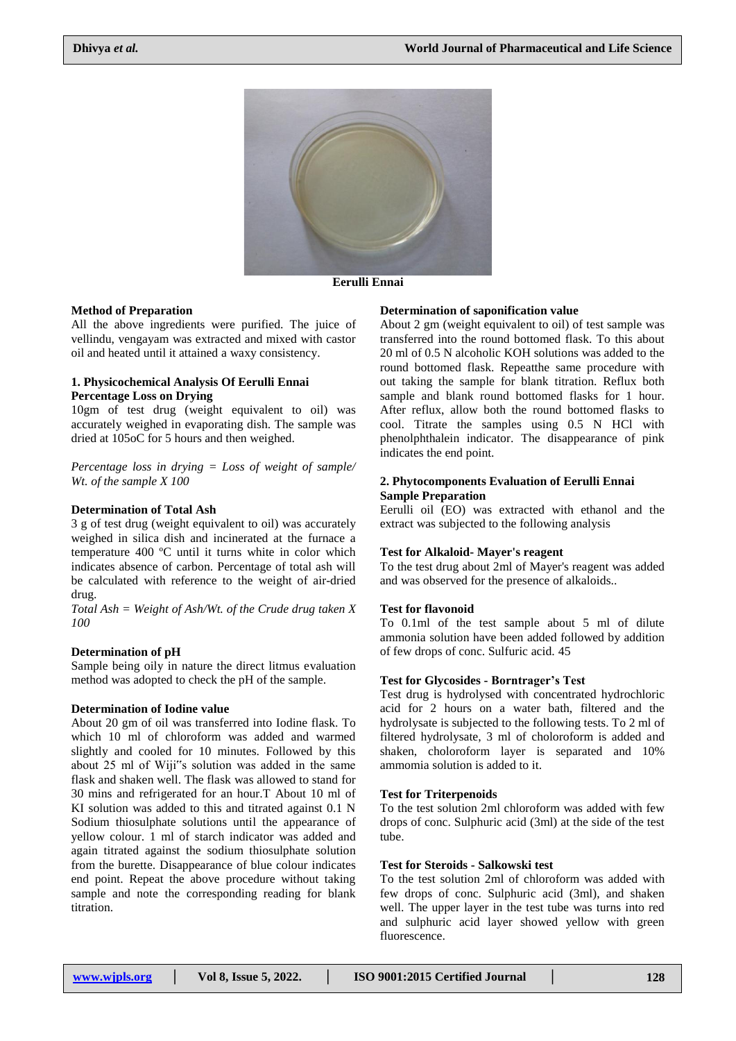

**Eerulli Ennai**

### **Method of Preparation**

All the above ingredients were purified. The juice of vellindu, vengayam was extracted and mixed with castor oil and heated until it attained a waxy consistency.

### **1. Physicochemical Analysis Of Eerulli Ennai Percentage Loss on Drying**

10gm of test drug (weight equivalent to oil) was accurately weighed in evaporating dish. The sample was dried at 105oC for 5 hours and then weighed.

*Percentage loss in drying = Loss of weight of sample/ Wt. of the sample X 100*

### **Determination of Total Ash**

3 g of test drug (weight equivalent to oil) was accurately weighed in silica dish and incinerated at the furnace a temperature 400 ºC until it turns white in color which indicates absence of carbon. Percentage of total ash will be calculated with reference to the weight of air-dried drug.

*Total Ash = Weight of Ash/Wt. of the Crude drug taken X 100*

### **Determination of pH**

Sample being oily in nature the direct litmus evaluation method was adopted to check the pH of the sample.

# **Determination of Iodine value**

About 20 gm of oil was transferred into Iodine flask. To which 10 ml of chloroform was added and warmed slightly and cooled for 10 minutes. Followed by this about 25 ml of Wiji"s solution was added in the same flask and shaken well. The flask was allowed to stand for 30 mins and refrigerated for an hour.T About 10 ml of KI solution was added to this and titrated against 0.1 N Sodium thiosulphate solutions until the appearance of yellow colour. 1 ml of starch indicator was added and again titrated against the sodium thiosulphate solution from the burette. Disappearance of blue colour indicates end point. Repeat the above procedure without taking sample and note the corresponding reading for blank titration.

### **Determination of saponification value**

About 2 gm (weight equivalent to oil) of test sample was transferred into the round bottomed flask. To this about 20 ml of 0.5 N alcoholic KOH solutions was added to the round bottomed flask. Repeatthe same procedure with out taking the sample for blank titration. Reflux both sample and blank round bottomed flasks for 1 hour. After reflux, allow both the round bottomed flasks to cool. Titrate the samples using 0.5 N HCl with phenolphthalein indicator. The disappearance of pink indicates the end point.

### **2. Phytocomponents Evaluation of Eerulli Ennai Sample Preparation**

Eerulli oil (EO) was extracted with ethanol and the extract was subjected to the following analysis

### **Test for Alkaloid- Mayer's reagent**

To the test drug about 2ml of Mayer's reagent was added and was observed for the presence of alkaloids..

### **Test for flavonoid**

To 0.1ml of the test sample about 5 ml of dilute ammonia solution have been added followed by addition of few drops of conc. Sulfuric acid. 45

### **Test for Glycosides - Borntrager's Test**

Test drug is hydrolysed with concentrated hydrochloric acid for 2 hours on a water bath, filtered and the hydrolysate is subjected to the following tests. To 2 ml of filtered hydrolysate, 3 ml of choloroform is added and shaken, choloroform layer is separated and 10% ammomia solution is added to it.

#### **Test for Triterpenoids**

To the test solution 2ml chloroform was added with few drops of conc. Sulphuric acid (3ml) at the side of the test tube.

## **Test for Steroids - Salkowski test**

To the test solution 2ml of chloroform was added with few drops of conc. Sulphuric acid (3ml), and shaken well. The upper layer in the test tube was turns into red and sulphuric acid layer showed yellow with green fluorescence.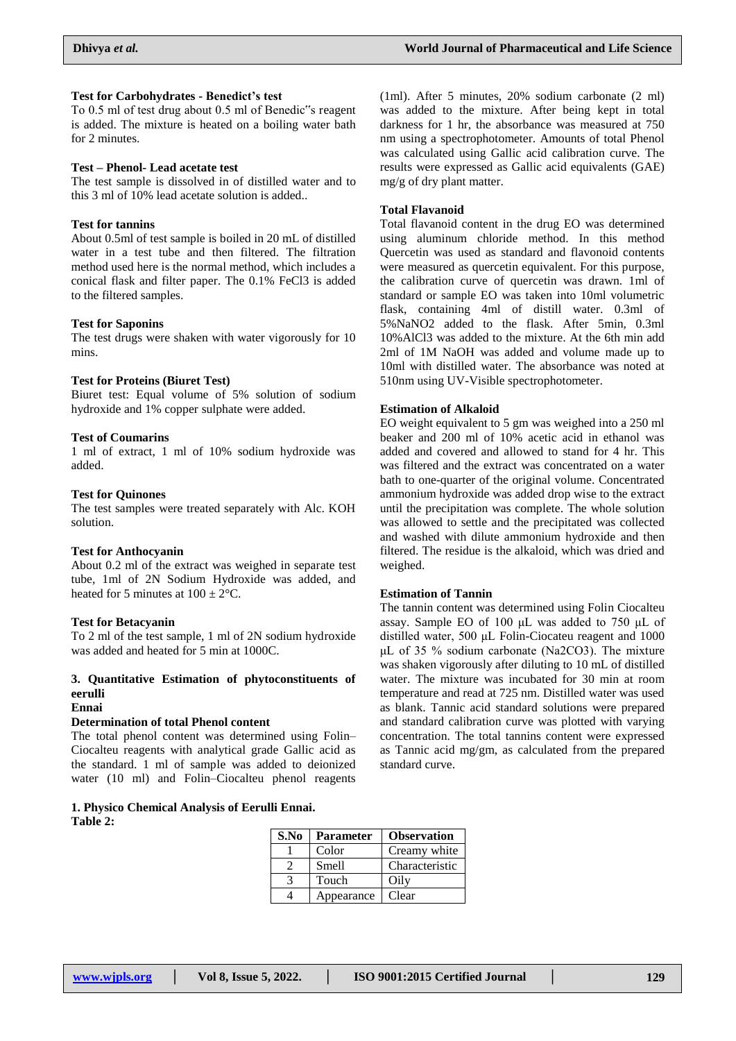### **Test for Carbohydrates - Benedict's test**

To 0.5 ml of test drug about 0.5 ml of Benedic"s reagent is added. The mixture is heated on a boiling water bath for 2 minutes.

### **Test – Phenol- Lead acetate test**

The test sample is dissolved in of distilled water and to this 3 ml of 10% lead acetate solution is added..

### **Test for tannins**

About 0.5ml of test sample is boiled in 20 mL of distilled water in a test tube and then filtered. The filtration method used here is the normal method, which includes a conical flask and filter paper. The 0.1% FeCl3 is added to the filtered samples.

#### **Test for Saponins**

The test drugs were shaken with water vigorously for 10 mins.

#### **Test for Proteins (Biuret Test)**

Biuret test: Equal volume of 5% solution of sodium hydroxide and 1% copper sulphate were added.

### **Test of Coumarins**

1 ml of extract, 1 ml of 10% sodium hydroxide was added.

### **Test for Quinones**

The test samples were treated separately with Alc. KOH solution.

### **Test for Anthocyanin**

About 0.2 ml of the extract was weighed in separate test tube, 1ml of 2N Sodium Hydroxide was added, and heated for 5 minutes at  $100 \pm 2^{\circ}$ C.

#### **Test for Betacyanin**

To 2 ml of the test sample, 1 ml of 2N sodium hydroxide was added and heated for 5 min at 1000C.

# **3. Quantitative Estimation of phytoconstituents of eerulli**

# **Ennai**

# **Determination of total Phenol content**

The total phenol content was determined using Folin– Ciocalteu reagents with analytical grade Gallic acid as the standard. 1 ml of sample was added to deionized water (10 ml) and Folin–Ciocalteu phenol reagents

### **1. Physico Chemical Analysis of Eerulli Ennai. Table 2:**

(1ml). After 5 minutes, 20% sodium carbonate (2 ml) was added to the mixture. After being kept in total darkness for 1 hr, the absorbance was measured at 750 nm using a spectrophotometer. Amounts of total Phenol was calculated using Gallic acid calibration curve. The results were expressed as Gallic acid equivalents (GAE) mg/g of dry plant matter.

### **Total Flavanoid**

Total flavanoid content in the drug EO was determined using aluminum chloride method. In this method Quercetin was used as standard and flavonoid contents were measured as quercetin equivalent. For this purpose, the calibration curve of quercetin was drawn. 1ml of standard or sample EO was taken into 10ml volumetric flask, containing 4ml of distill water. 0.3ml of 5%NaNO2 added to the flask. After 5min, 0.3ml 10%AlCl3 was added to the mixture. At the 6th min add 2ml of 1M NaOH was added and volume made up to 10ml with distilled water. The absorbance was noted at 510nm using UV-Visible spectrophotometer.

### **Estimation of Alkaloid**

EO weight equivalent to 5 gm was weighed into a 250 ml beaker and 200 ml of 10% acetic acid in ethanol was added and covered and allowed to stand for 4 hr. This was filtered and the extract was concentrated on a water bath to one-quarter of the original volume. Concentrated ammonium hydroxide was added drop wise to the extract until the precipitation was complete. The whole solution was allowed to settle and the precipitated was collected and washed with dilute ammonium hydroxide and then filtered. The residue is the alkaloid, which was dried and weighed.

# **Estimation of Tannin**

The tannin content was determined using Folin Ciocalteu assay. Sample EO of 100 μL was added to 750 μL of distilled water, 500 μL Folin-Ciocateu reagent and 1000 μL of 35 % sodium carbonate (Na2CO3). The mixture was shaken vigorously after diluting to 10 mL of distilled water. The mixture was incubated for 30 min at room temperature and read at 725 nm. Distilled water was used as blank. Tannic acid standard solutions were prepared and standard calibration curve was plotted with varying concentration. The total tannins content were expressed as Tannic acid mg/gm, as calculated from the prepared standard curve.

| S.No | <b>Parameter</b> | <b>Observation</b> |
|------|------------------|--------------------|
|      | Color            | Creamy white       |
|      | Smell            | Characteristic     |
|      | Touch            | Oilv               |
|      | Appearance       | Clear              |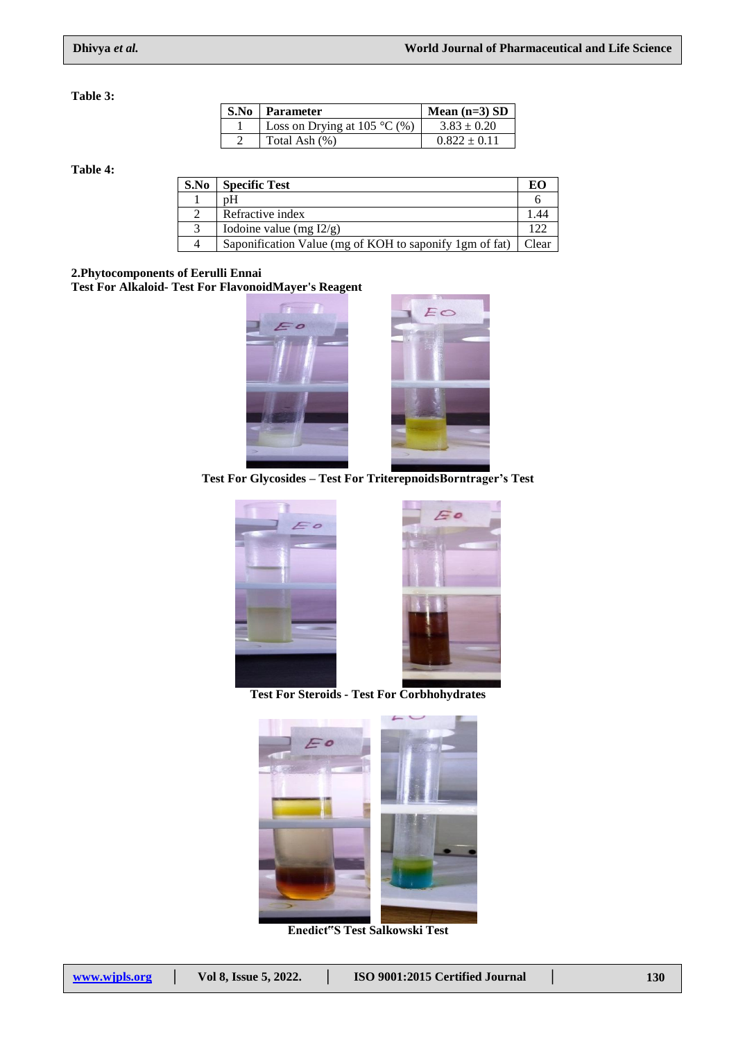**Table 3:**

| S.No | Parameter                    | Mean $(n=3)$ SD  |
|------|------------------------------|------------------|
|      | Loss on Drying at 105 °C (%) | $3.83 \pm 0.20$  |
|      | Total Ash (%)                | $0.822 \pm 0.11$ |

**Table 4:**

| S.No | <b>Specific Test</b>                                    | ЕC    |
|------|---------------------------------------------------------|-------|
|      | pΗ                                                      |       |
|      | Refractive index                                        |       |
|      | Iodoine value (mg $I2/g$ )                              |       |
|      | Saponification Value (mg of KOH to saponify 1gm of fat) | Clear |

# **2.Phytocomponents of Eerulli Ennai**

**Test For Alkaloid- Test For FlavonoidMayer's Reagent**



**Test For Glycosides – Test For TriterepnoidsBorntrager's Test**





**Test For Steroids - Test For Corbhohydrates**



**Enedict"S Test Salkowski Test**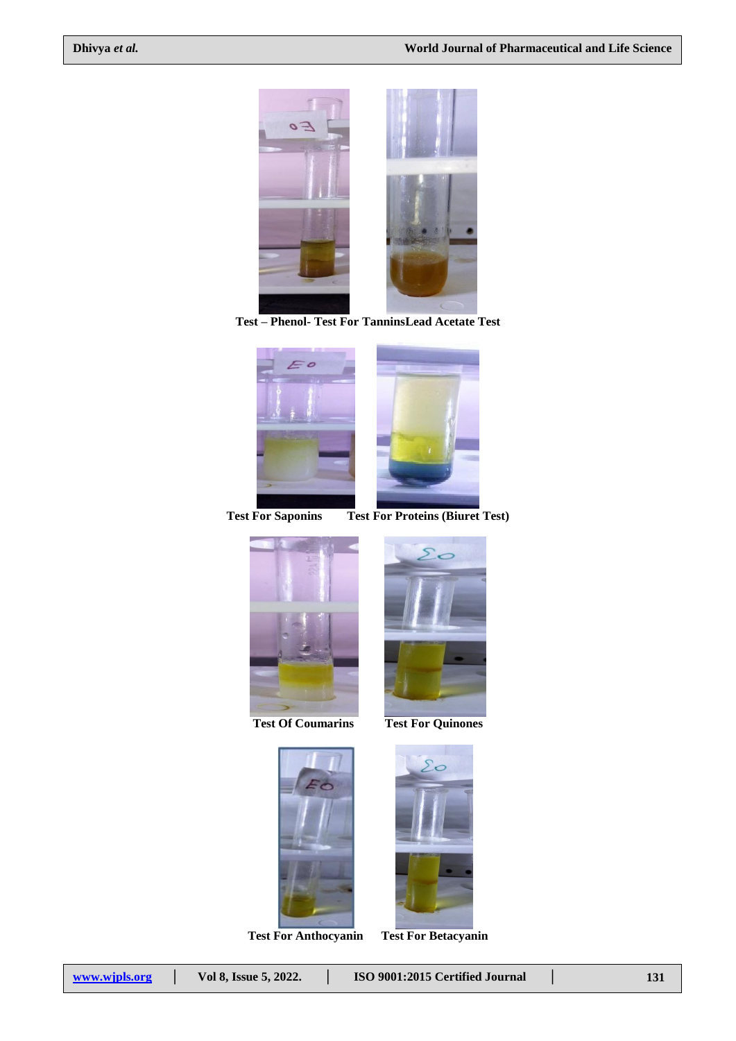

**Test – Phenol- Test For TanninsLead Acetate Test**



**Test For Saponins Test For Proteins (Biuret Test)**



 $\overline{\phantom{a}}$ 







**Test For Anthocyanin Test For Betacyanin**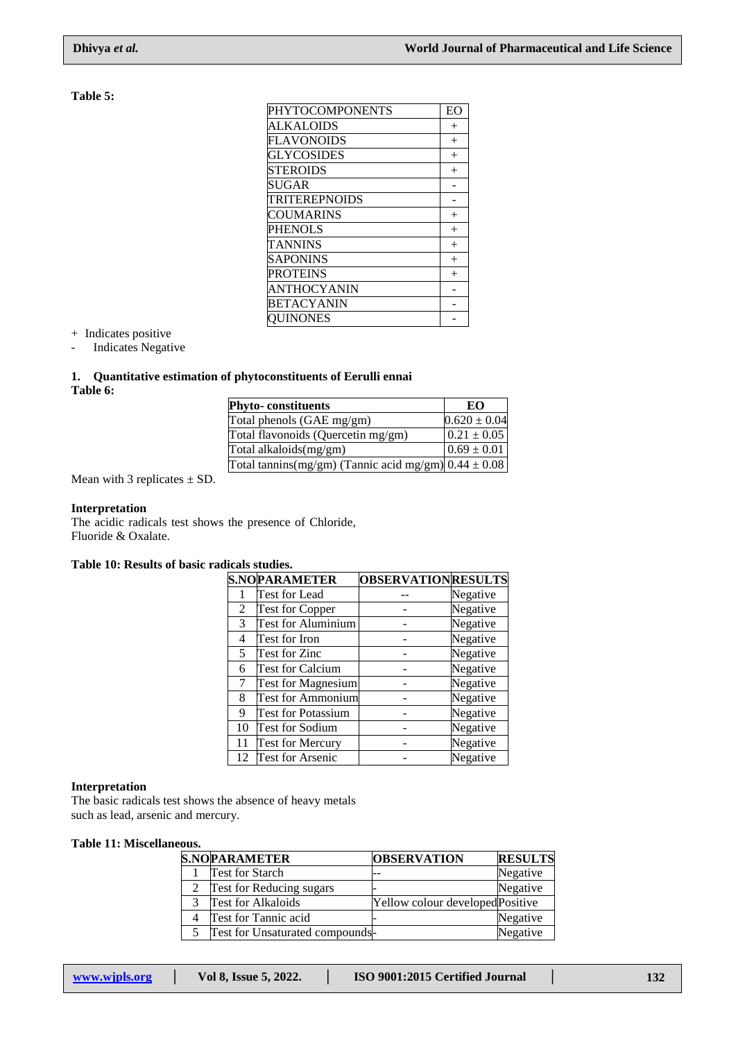# **Table 5:**

| PHYTOCOMPONENTS   | EO     |
|-------------------|--------|
| <b>ALKALOIDS</b>  | $^{+}$ |
| <b>FLAVONOIDS</b> | $^{+}$ |
| GLYCOSIDES        | $^{+}$ |
| <b>STEROIDS</b>   | $^{+}$ |
| <b>SUGAR</b>      |        |
| TRITEREPNOIDS     |        |
| COUMARINS         | $^{+}$ |
| PHENOLS           | $^{+}$ |
| TANNINS           | $^{+}$ |
| <b>SAPONINS</b>   | $^{+}$ |
| <b>PROTEINS</b>   | $^{+}$ |
| ANTHOCYANIN       |        |
| BETACYANIN        |        |
| UINONES           |        |

+ Indicates positive

- Indicates Negative

# **1. Quantitative estimation of phytoconstituents of Eerulli ennai Table 6:**

| <b>Phyto-constituents</b>                                | EO               |
|----------------------------------------------------------|------------------|
| Total phenols (GAE mg/gm)                                | $0.620 \pm 0.04$ |
| Total flavonoids (Quercetin mg/gm)                       | $0.21 \pm 0.05$  |
| Total alkaloids(mg/gm)                                   | $0.69 \pm 0.01$  |
| Total tannins(mg/gm) (Tannic acid mg/gm) $0.44 \pm 0.08$ |                  |

Mean with 3 replicates  $\pm$  SD.

# **Interpretation**

The acidic radicals test shows the presence of Chloride, Fluoride & Oxalate.

# **Table 10: Results of basic radicals studies.**

|    | <b>S.NOPARAMETER</b>      | <b>OBSERVATIONRESULTS</b> |          |
|----|---------------------------|---------------------------|----------|
|    | Test for Lead             |                           | Negative |
| 2  | <b>Test for Copper</b>    |                           | Negative |
| 3  | <b>Test for Aluminium</b> |                           | Negative |
| 4  | Test for Iron             |                           | Negative |
| 5  | Test for Zinc             |                           | Negative |
| 6  | <b>Test for Calcium</b>   |                           | Negative |
| 7  | <b>Test for Magnesium</b> |                           | Negative |
| 8  | <b>Test for Ammonium</b>  |                           | Negative |
| 9  | <b>Test for Potassium</b> |                           | Negative |
| 10 | <b>Test for Sodium</b>    |                           | Negative |
| 11 | <b>Test for Mercury</b>   |                           | Negative |
| 12 | <b>Test for Arsenic</b>   |                           | Negative |

## **Interpretation**

The basic radicals test shows the absence of heavy metals such as lead, arsenic and mercury.

### **Table 11: Miscellaneous.**

| <b>S.NOPARAMETER</b>                   | <b>OBSERVATION</b>               | <b>RESULTS</b> |
|----------------------------------------|----------------------------------|----------------|
| <b>Test for Starch</b>                 |                                  | Negative       |
| Test for Reducing sugars               |                                  | Negative       |
| <b>Test for Alkaloids</b>              | Yellow colour developed Positive |                |
| Test for Tannic acid                   |                                  | Negative       |
| <b>Test for Unsaturated compounds-</b> |                                  | Negative       |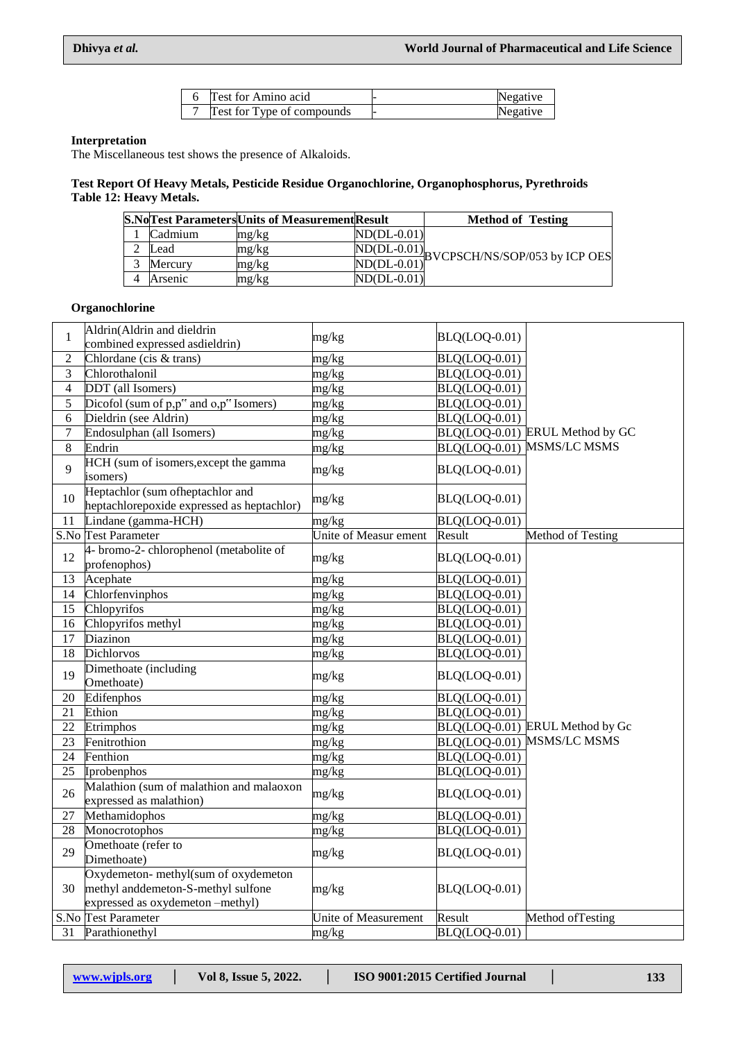|  | Test for Amino acid               | Negative |
|--|-----------------------------------|----------|
|  | <b>Test for Type of compounds</b> | Negative |

# **Interpretation**

The Miscellaneous test shows the presence of Alkaloids.

# **Test Report Of Heavy Metals, Pesticide Residue Organochlorine, Organophosphorus, Pyrethroids Table 12: Heavy Metals.**

|         | <b>S.NoTest ParametersUnits of Measurement Result</b> |               | <b>Method of Testing</b>                                            |
|---------|-------------------------------------------------------|---------------|---------------------------------------------------------------------|
| Cadmium | mg/kg                                                 | $ND(DL-0.01)$ |                                                                     |
| Lead    | mg/kg                                                 |               | $\frac{\text{ND(DL-0.01)}}{\text{D}}$ BVCPSCH/NS/SOP/053 by ICP OES |
| Mercury | mg/kg                                                 | $ND(DL-0.01)$ |                                                                     |
| Arsenic | mg/kg                                                 | $ND(DL-0.01)$ |                                                                     |

# **Organochlorine**

| $\mathbf{1}$   | Aldrin(Aldrin and dieldrin                                                                                    | mg/kg                 | BLQ(LOQ-0.01)                            |                                 |
|----------------|---------------------------------------------------------------------------------------------------------------|-----------------------|------------------------------------------|---------------------------------|
|                | combined expressed asdieldrin)                                                                                |                       |                                          |                                 |
| $\sqrt{2}$     | Chlordane (cis & trans)                                                                                       | mg/kg                 | BLQ(LOQ-0.01)                            |                                 |
| 3              | Chlorothalonil                                                                                                | mg/kg                 | <b>BLQ(LOQ-0.01)</b>                     |                                 |
| $\overline{4}$ | DDT (all Isomers)                                                                                             | mg/kg                 | BLQ(LOQ-0.01)                            |                                 |
| 5              | Dicofol (sum of p,p" and o,p" Isomers)                                                                        | mg/kg                 | BLQ(LOQ-0.01)                            |                                 |
| 6              | Dieldrin (see Aldrin)                                                                                         | mg/kg                 | $\overline{B L Q (L O Q \text{-} 0.01)}$ |                                 |
| $\overline{7}$ | Endosulphan (all Isomers)                                                                                     | mg/kg                 |                                          | BLQ(LOQ-0.01) ERUL Method by GC |
| $\overline{8}$ | Endrin                                                                                                        | mg/kg                 |                                          | BLQ(LOQ-0.01) MSMS/LC MSMS      |
| 9              | HCH (sum of isomers, except the gamma<br>isomers)                                                             | mg/kg                 | BLQ(LOQ-0.01)                            |                                 |
| 10             | Heptachlor (sum ofheptachlor and<br>heptachlorepoxide expressed as heptachlor)                                | mg/kg                 | BLQ(LOQ-0.01)                            |                                 |
| 11             | Lindane (gamma-HCH)                                                                                           | mg/kg                 | BLQ(LOQ-0.01)                            |                                 |
|                | S.No Test Parameter                                                                                           | Unite of Measur ement | Result                                   | Method of Testing               |
| 12             | 4- bromo-2- chlorophenol (metabolite of<br>profenophos)                                                       | mg/kg                 | BLQ(LOQ-0.01)                            |                                 |
| 13             | Acephate                                                                                                      | mg/kg                 | BLQ(LOQ-0.01)                            |                                 |
| 14             | Chlorfenvinphos                                                                                               | mg/kg                 | BLQ(LOQ-0.01)                            |                                 |
| 15             | Chlopyrifos                                                                                                   | mg/kg                 | BLQ(LOQ-0.01)                            |                                 |
| 16             | Chlopyrifos methyl                                                                                            | mg/kg                 |                                          |                                 |
|                |                                                                                                               |                       | BLQ(LOQ-0.01)                            |                                 |
| 17             | Diazinon                                                                                                      | mg/kg                 | BLQ(LOQ-0.01)                            |                                 |
| 18             | Dichlorvos                                                                                                    | mg/kg                 | BLQ(LOQ-0.01)                            |                                 |
| 19             | Dimethoate (including<br>Omethoate)                                                                           | mg/kg                 | BLQ(LOQ-0.01)                            |                                 |
| 20             | Edifenphos                                                                                                    | mg/kg                 | BLQ(LOQ-0.01)                            |                                 |
| 21             | Ethion                                                                                                        | mg/kg                 | BLQ(LOQ-0.01)                            |                                 |
| 22             | Etrimphos                                                                                                     | mg/kg                 |                                          | BLQ(LOQ-0.01) ERUL Method by Gc |
| 23             | Fenitrothion                                                                                                  | mg/kg                 |                                          | BLQ(LOQ-0.01) MSMS/LC MSMS      |
| 24             | Fenthion                                                                                                      | mg/kg                 | BLQ(LOQ-0.01)                            |                                 |
| 25             | Iprobenphos                                                                                                   | mg/kg                 | BLQ(LOQ-0.01)                            |                                 |
| 26             | Malathion (sum of malathion and malaoxon<br>expressed as malathion)                                           | mg/kg                 | BLQ(LOQ-0.01)                            |                                 |
| $27\,$         | Methamidophos                                                                                                 | mg/kg                 | BLQ(LOQ-0.01)                            |                                 |
| 28             | Monocrotophos                                                                                                 | mg/kg                 | BLQ(LOQ-0.01)                            |                                 |
| 29             | Omethoate (refer to<br>Dimethoate)                                                                            | mg/kg                 | BLQ(LOQ-0.01)                            |                                 |
| 30             | Oxydemeton-methyl(sum of oxydemeton<br>methyl anddemeton-S-methyl sulfone<br>expressed as oxydemeton -methyl) | mg/kg                 | BLQ(LOQ-0.01)                            |                                 |
|                | S.No Test Parameter                                                                                           | Unite of Measurement  | Result                                   | Method of Testing               |
| 31             | Parathionethyl                                                                                                | mg/kg                 | BLQ(LOQ-0.01)                            |                                 |
|                |                                                                                                               |                       |                                          |                                 |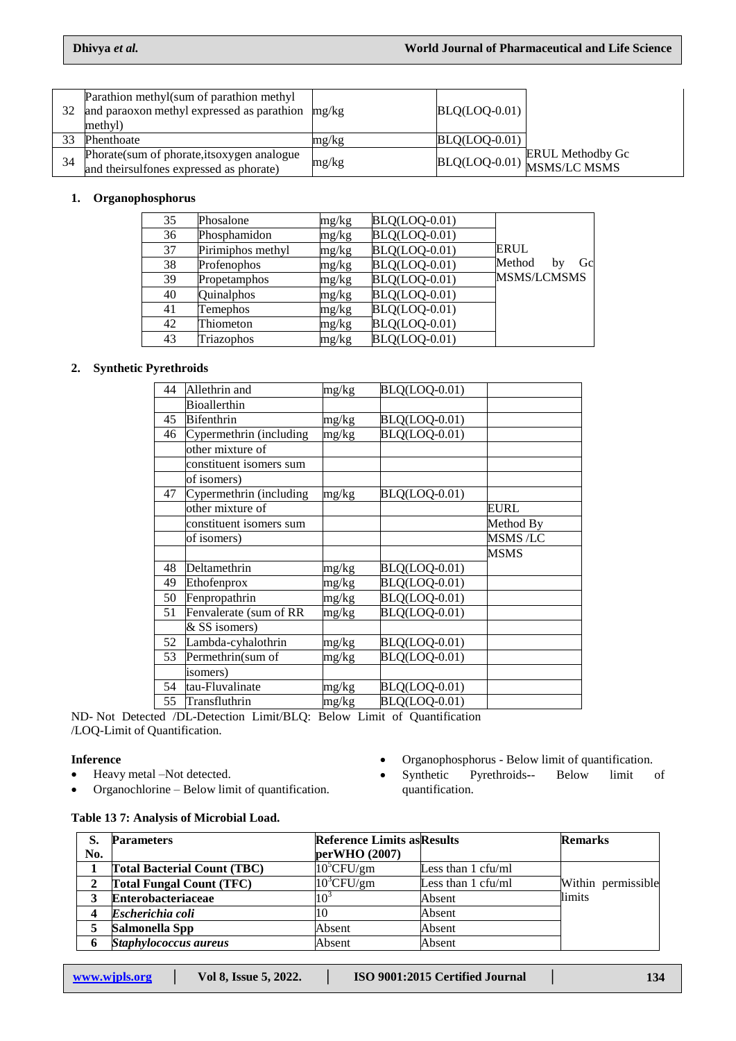| 32 | Parathion methyl(sum of parathion methyl<br>and paraoxon methyl expressed as parathion<br>methyl) | mg/kg | $BLQ(LOQ-0.01)$ |                                                       |
|----|---------------------------------------------------------------------------------------------------|-------|-----------------|-------------------------------------------------------|
| 33 | Phenthoate                                                                                        | mg/kg | $BLQ(LOQ-0.01)$ |                                                       |
| 34 | Phorate(sum of phorate, itsoxygen analogue<br>and their sulfones expressed as phorate)            | mg/kg |                 | <b>ERUL Methodby Gc</b><br>BLQ(LOQ-0.01) MSMS/LC MSMS |

# **1. Organophosphorus**

| 35 | Phosalone         | mg/kg | $BLQ(LOQ-0.01)$    |                    |
|----|-------------------|-------|--------------------|--------------------|
| 36 | Phosphamidon      | mg/kg | BLQ(LOQ-0.01)      |                    |
| 37 | Pirimiphos methyl | mg/kg | BLQ(LOQ-0.01)      | ERUL               |
| 38 | Profenophos       | mg/kg | BLQ(LOQ-0.01)      | Method<br>Gc<br>by |
| 39 | Propetamphos      | mg/kg | BLQ(LOQ-0.01)      | <b>MSMS/LCMSMS</b> |
| 40 | Quinalphos        | mg/kg | BLQ(LOQ-0.01)      |                    |
| 41 | Temephos          | mg/kg | BLQ(LOQ-0.01)      |                    |
| 42 | Thiometon         | mg/kg | BLQ(LOQ-0.01)      |                    |
| 43 | Triazophos        | mg/kg | $B L Q (LOQ-0.01)$ |                    |

# **2. Synthetic Pyrethroids**

| 44 | Allethrin and           | mg/kg | BLQ(LOQ-0.01) |                |
|----|-------------------------|-------|---------------|----------------|
|    | Bioallerthin            |       |               |                |
| 45 | <b>Bifenthrin</b>       | mg/kg | BLQ(LOQ-0.01) |                |
| 46 | Cypermethrin (including | mg/kg | BLQ(LOQ-0.01) |                |
|    | other mixture of        |       |               |                |
|    | constituent isomers sum |       |               |                |
|    | of isomers)             |       |               |                |
| 47 | Cypermethrin (including | mg/kg | BLQ(LOQ-0.01) |                |
|    | other mixture of        |       |               | EURL           |
|    | constituent isomers sum |       |               | Method By      |
|    | of isomers)             |       |               | <b>MSMS/LC</b> |
|    |                         |       |               | MSMS           |
| 48 | Deltamethrin            | mg/kg | BLQ(LOQ-0.01) |                |
| 49 | Ethofenprox             | mg/kg | BLQ(LOQ-0.01) |                |
| 50 | Fenpropathrin           | mg/kg | BLQ(LOQ-0.01) |                |
| 51 | Fenvalerate (sum of RR  | mg/kg | BLQ(LOQ-0.01) |                |
|    | & SS isomers)           |       |               |                |
| 52 | Lambda-cyhalothrin      | mg/kg | BLQ(LOQ-0.01) |                |
| 53 | Permethrin(sum of       | mg/kg | BLQ(LOQ-0.01) |                |
|    | isomers)                |       |               |                |
| 54 | tau-Fluvalinate         | mg/kg | BLQ(LOQ-0.01) |                |
| 55 | Transfluthrin           | mg/kg | BLQ(LOQ-0.01) |                |
|    |                         |       |               |                |

ND- Not Detected /DL-Detection Limit/BLQ: Below Limit of Quantification /LOQ-Limit of Quantification.

### **Inference**

- Heavy metal –Not detected.
- Organochlorine Below limit of quantification.
- Organophosphorus Below limit of quantification.
- Synthetic Pyrethroids**-** Below limit of quantification.

# **Table 13 7: Analysis of Microbial Load.**

| S.  | <b>Parameters</b>                  | <b>Reference Limits as Results</b> |                    | <b>Remarks</b>     |
|-----|------------------------------------|------------------------------------|--------------------|--------------------|
| No. |                                    | perWHO (2007)                      |                    |                    |
|     | <b>Total Bacterial Count (TBC)</b> | $10^5$ CFU/gm                      | Less than 1 cfu/ml |                    |
|     | <b>Total Fungal Count (TFC)</b>    | $10^3$ CFU/gm                      | Less than 1 cfu/ml | Within permissible |
|     | <b>Enterobacteriaceae</b>          | 10 <sup>3</sup>                    | Absent             | limits             |
|     | Escherichia coli                   |                                    | Absent             |                    |
|     | Salmonella Spp                     | Absent                             | Absent             |                    |
|     | Staphylococcus aureus              | Absent                             | Absent             |                    |

**www.wjpls.org │ Vol 8, Issue 5, 2022. │ ISO 9001:2015 Certified Journal │ 134**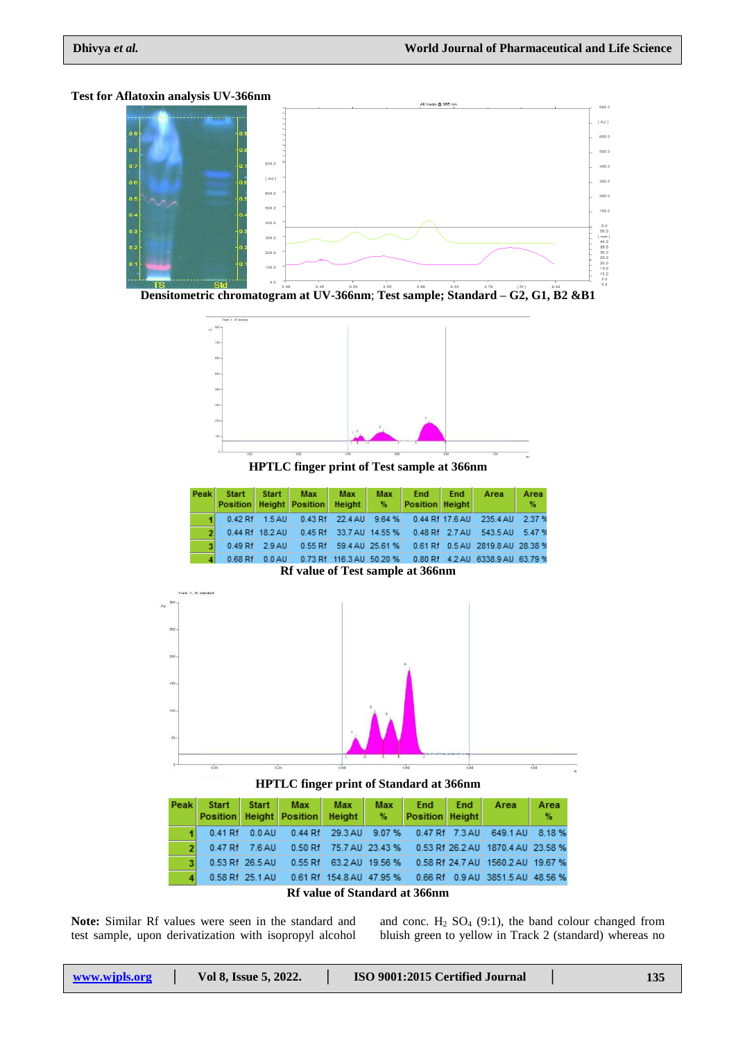### **Test for Aflatoxin analysis UV-366nm**



**Densitometric chromatogram at UV-366nm**; **Test sample; Standard – G2, G1, B2 &B1**



**HPTLC finger print of Test sample at 366nm**

| Peak                                    | <b>Start</b><br><b>Position</b> | Start           | <b>Max</b><br><b>Height   Position  </b> | <b>Max</b><br>Height | <b>Max</b><br>$-\%$ | End<br><b>Position   Height  </b> | End            | Area                                                      | Area<br>% |
|-----------------------------------------|---------------------------------|-----------------|------------------------------------------|----------------------|---------------------|-----------------------------------|----------------|-----------------------------------------------------------|-----------|
|                                         | $0.42$ Rf                       | $1.5$ AU        | $0.43$ Rf                                | 22.4 AU              | 9.64%               | 0.44 Rf 17.6 AU                   |                | 235.4 AU                                                  | 2.37%     |
| 2                                       |                                 | 0.44 Rf 18.2 AU | $0.45$ Rf                                |                      | 33.7 AU 14.55 %     |                                   | 0.48 Rf 2.7 AU | 543.5 AU                                                  | 5.47%     |
| 3                                       | $0.49$ Rf                       | 2.9 AU          | 0.55 Rf                                  |                      | 59.4 AU 25.61 %     |                                   |                | 0.61 Rf 0.5 AU 2819.8 AU 28.38 %                          |           |
| $\boldsymbol{A}$                        | $0.68$ Rf                       | $0.0$ AU        |                                          |                      |                     |                                   |                | 0.73 Rf 116.3 AU 50.20 % 0.80 Rf 4.2 AU 6338.9 AU 63.79 % |           |
| <b>Rf value of Test sample at 366nm</b> |                                 |                 |                                          |                      |                     |                                   |                |                                                           |           |



**HPTLC finger print of Standard at 366nm**

|  |                    | Peak Start Start Max Max<br>Position Height Position Height % |                         | Max End End Area<br><b>Position   Height  </b> |                                                           | Area<br>% |
|--|--------------------|---------------------------------------------------------------|-------------------------|------------------------------------------------|-----------------------------------------------------------|-----------|
|  | $0.41$ Rf $0.0$ AU |                                                               |                         | 0.44 Rf 29.3 AU 9.07 % 0.47 Rf 7.3 AU          | 649.1 AU 8.18 %                                           |           |
|  | 0.47 Rf 7.6 AU     |                                                               |                         |                                                | 0.50 Rf 75.7 AU 23.43 % 0.53 Rf 26.2 AU 1870.4 AU 23.58 % |           |
|  | 0.53 Rf 26.5 AU    |                                                               |                         |                                                | 0.55 Rf 63.2 AU 19.56 % 0.58 Rf 24.7 AU 1560.2 AU 19.67 % |           |
|  | 0.58 Rf 25.1 AU    |                                                               |                         |                                                | 0.61 Rf 154.8 AU 47.95 % 0.66 Rf 0.9 AU 3851.5 AU 48.56 % |           |
|  |                    | $\sim$ $\sim$                                                 | $\sim$ 0.0. $\sim$ 0.0. |                                                |                                                           |           |

**Rf value of Standard at 366nm**

**Note:** Similar Rf values were seen in the standard and test sample, upon derivatization with isopropyl alcohol and conc.  $H_2$  SO<sub>4</sub> (9:1), the band colour changed from bluish green to yellow in Track 2 (standard) whereas no

| www.wipls.org | Vol 8, Issue 5, 2022. | ISO 9001:2015 Certified Journal | 135 |
|---------------|-----------------------|---------------------------------|-----|
|               |                       |                                 |     |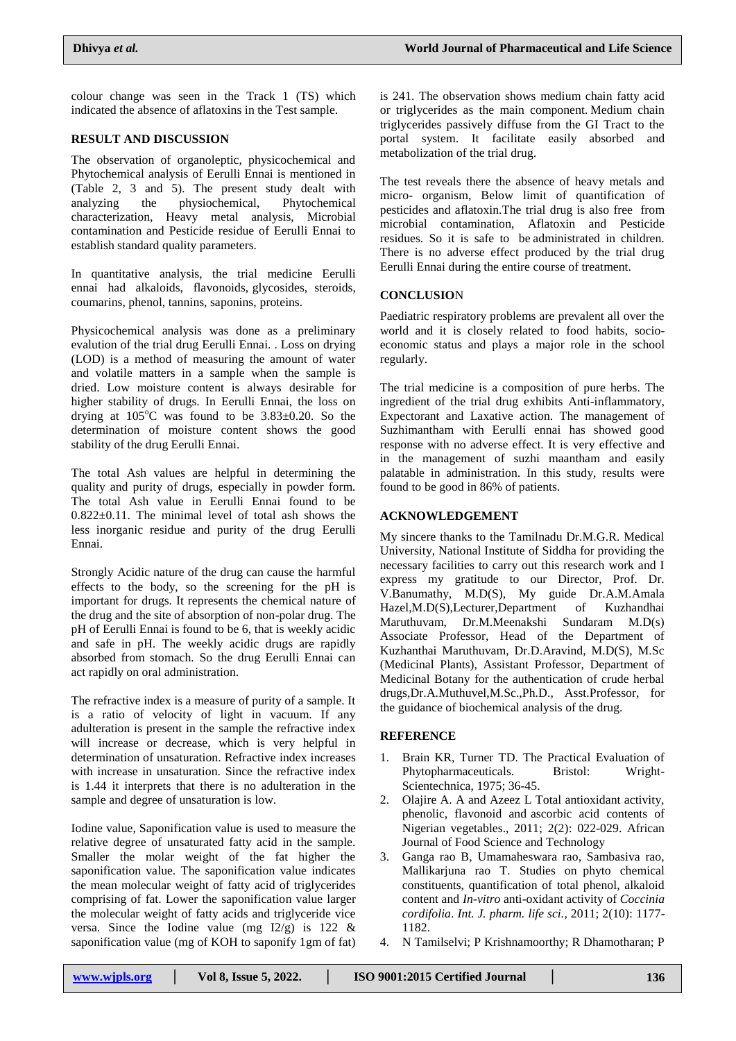colour change was seen in the Track 1 (TS) which indicated the absence of aflatoxins in the Test sample.

# **RESULT AND DISCUSSION**

The observation of organoleptic, physicochemical and Phytochemical analysis of Eerulli Ennai is mentioned in (Table 2, 3 and 5). The present study dealt with analyzing the physiochemical, Phytochemical physiochemical, characterization, Heavy metal analysis, Microbial contamination and Pesticide residue of Eerulli Ennai to establish standard quality parameters.

In quantitative analysis, the trial medicine Eerulli ennai had alkaloids, flavonoids, glycosides, steroids, coumarins, phenol, tannins, saponins, proteins.

Physicochemical analysis was done as a preliminary evalution of the trial drug Eerulli Ennai. . Loss on drying (LOD) is a method of measuring the amount of water and volatile matters in a sample when the sample is dried. Low moisture content is always desirable for higher stability of drugs. In Eerulli Ennai, the loss on drying at  $105^{\circ}$ C was found to be  $3.83\pm0.20$ . So the determination of moisture content shows the good stability of the drug Eerulli Ennai.

The total Ash values are helpful in determining the quality and purity of drugs, especially in powder form*.*  The total Ash value in Eerulli Ennai found to be 0.822±0.11. The minimal level of total ash shows the less inorganic residue and purity of the drug Eerulli Ennai.

Strongly Acidic nature of the drug can cause the harmful effects to the body, so the screening for the pH is important for drugs. It represents the chemical nature of the drug and the site of absorption of non-polar drug. The pH of Eerulli Ennai is found to be 6, that is weekly acidic and safe in pH. The weekly acidic drugs are rapidly absorbed from stomach. So the drug Eerulli Ennai can act rapidly on oral administration.

The refractive index is a measure of purity of a sample. It is a ratio of velocity of light in vacuum. If any adulteration is present in the sample the refractive index will increase or decrease, which is very helpful in determination of unsaturation. Refractive index increases with increase in unsaturation. Since the refractive index is 1.44 it interprets that there is no adulteration in the sample and degree of unsaturation is low.

Iodine value, Saponification value is used to measure the relative degree of unsaturated fatty acid in the sample. Smaller the molar weight of the fat higher the saponification value. The saponification value indicates the mean molecular weight of fatty acid of triglycerides comprising of fat. Lower the saponification value larger the molecular weight of fatty acids and triglyceride vice versa. Since the Iodine value (mg  $I2/g$ ) is 122 & saponification value (mg of KOH to saponify 1gm of fat)

is 241. The observation shows medium chain fatty acid or triglycerides as the main component. Medium chain triglycerides passively diffuse from the GI Tract to the portal system. It facilitate easily absorbed and metabolization of the trial drug.

The test reveals there the absence of heavy metals and micro- organism, Below limit of quantification of pesticides and aflatoxin.The trial drug is also free from microbial contamination, Aflatoxin and Pesticide residues. So it is safe to be administrated in children. There is no adverse effect produced by the trial drug Eerulli Ennai during the entire course of treatment.

# **CONCLUSIO**N

Paediatric respiratory problems are prevalent all over the world and it is closely related to food habits, socioeconomic status and plays a major role in the school regularly.

The trial medicine is a composition of pure herbs. The ingredient of the trial drug exhibits Anti-inflammatory, Expectorant and Laxative action. The management of Suzhimantham with Eerulli ennai has showed good response with no adverse effect. It is very effective and in the management of suzhi maantham and easily palatable in administration. In this study, results were found to be good in 86% of patients.

# **ACKNOWLEDGEMENT**

My sincere thanks to the Tamilnadu Dr.M.G.R. Medical University, National Institute of Siddha for providing the necessary facilities to carry out this research work and I express my gratitude to our Director, Prof. Dr. V.Banumathy, M.D(S), My guide Dr.A.M.Amala Hazel,M.D(S),Lecturer,Department of Kuzhandhai Maruthuvam, Dr.M.Meenakshi Sundaram M.D(s) Associate Professor, Head of the Department of Kuzhanthai Maruthuvam, Dr.D.Aravind, M.D(S), M.Sc (Medicinal Plants), Assistant Professor, Department of Medicinal Botany for the authentication of crude herbal drugs,Dr.A.Muthuvel,M.Sc.,Ph.D., Asst.Professor, for the guidance of biochemical analysis of the drug.

# **REFERENCE**

- 1. Brain KR, Turner TD. The Practical Evaluation of Phytopharmaceuticals. Bristol: Wright-Scientechnica, 1975; 36-45.
- 2. Olajire A. A and Azeez L Total antioxidant activity, phenolic, flavonoid and ascorbic acid contents of Nigerian vegetables., 2011; 2(2): 022-029. African Journal of Food Science and Technology
- 3. Ganga rao B, Umamaheswara rao, Sambasiva rao, Mallikarjuna rao T. Studies on phyto chemical constituents, quantification of total phenol, alkaloid content and *In-vitro* anti-oxidant activity of *Coccinia cordifolia*. *Int. J. pharm. life sci.,* 2011; 2(10): 1177- 1182.
- 4. N Tamilselvi; P Krishnamoorthy; R Dhamotharan; P

| Vol 8, Issue 5, 2022.<br>www.wipls.org | ISO 9001:2015 Certified Journal | 136 |
|----------------------------------------|---------------------------------|-----|
|----------------------------------------|---------------------------------|-----|